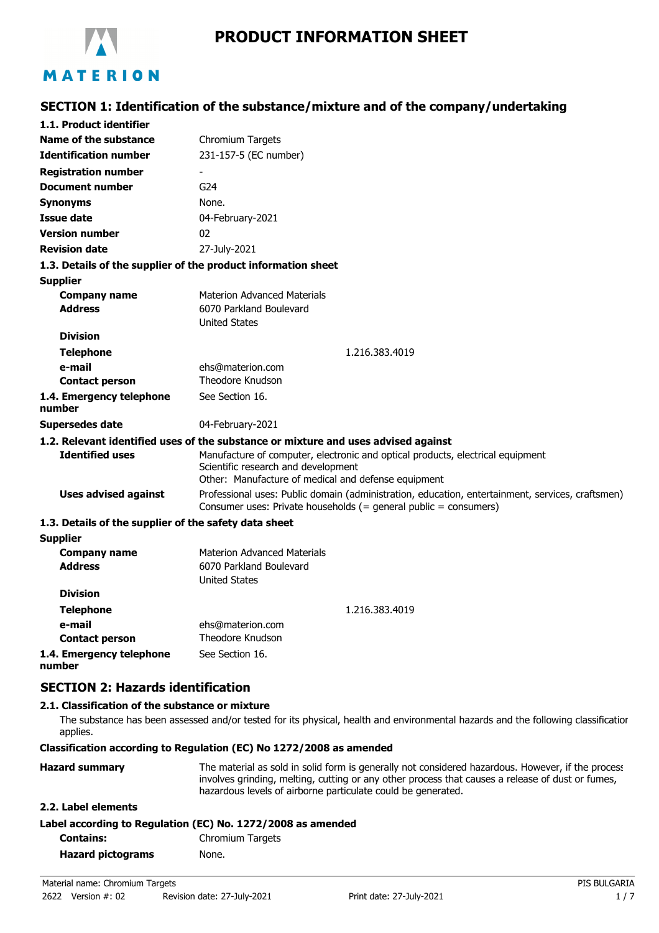

# **PRODUCT INFORMATION SHEET**

# **SECTION 1: Identification of the substance/mixture and of the company/undertaking**

| 1.1. Product identifier                               |                                                                                                                                                                              |  |
|-------------------------------------------------------|------------------------------------------------------------------------------------------------------------------------------------------------------------------------------|--|
| Name of the substance                                 | Chromium Targets                                                                                                                                                             |  |
| <b>Identification number</b>                          | 231-157-5 (EC number)                                                                                                                                                        |  |
| <b>Registration number</b>                            |                                                                                                                                                                              |  |
| <b>Document number</b>                                | G <sub>24</sub>                                                                                                                                                              |  |
| <b>Synonyms</b>                                       | None.                                                                                                                                                                        |  |
| <b>Issue date</b>                                     | 04-February-2021                                                                                                                                                             |  |
| <b>Version number</b>                                 | 02                                                                                                                                                                           |  |
| <b>Revision date</b>                                  | 27-July-2021                                                                                                                                                                 |  |
|                                                       | 1.3. Details of the supplier of the product information sheet                                                                                                                |  |
| <b>Supplier</b>                                       |                                                                                                                                                                              |  |
| <b>Company name</b>                                   | <b>Materion Advanced Materials</b>                                                                                                                                           |  |
| <b>Address</b>                                        | 6070 Parkland Boulevard                                                                                                                                                      |  |
|                                                       | <b>United States</b>                                                                                                                                                         |  |
| <b>Division</b>                                       |                                                                                                                                                                              |  |
| <b>Telephone</b>                                      | 1.216.383.4019                                                                                                                                                               |  |
| e-mail                                                | ehs@materion.com                                                                                                                                                             |  |
| <b>Contact person</b>                                 | Theodore Knudson                                                                                                                                                             |  |
| 1.4. Emergency telephone<br>number                    | See Section 16.                                                                                                                                                              |  |
| Supersedes date                                       | 04-February-2021                                                                                                                                                             |  |
|                                                       | 1.2. Relevant identified uses of the substance or mixture and uses advised against                                                                                           |  |
| <b>Identified uses</b>                                | Manufacture of computer, electronic and optical products, electrical equipment<br>Scientific research and development<br>Other: Manufacture of medical and defense equipment |  |
| <b>Uses advised against</b>                           | Professional uses: Public domain (administration, education, entertainment, services, craftsmen)<br>Consumer uses: Private households (= general public = consumers)         |  |
| 1.3. Details of the supplier of the safety data sheet |                                                                                                                                                                              |  |
| <b>Supplier</b>                                       |                                                                                                                                                                              |  |
| <b>Company name</b>                                   | <b>Materion Advanced Materials</b>                                                                                                                                           |  |
| <b>Address</b>                                        | 6070 Parkland Boulevard                                                                                                                                                      |  |
|                                                       | <b>United States</b>                                                                                                                                                         |  |
| <b>Division</b>                                       |                                                                                                                                                                              |  |
| <b>Telephone</b>                                      | 1.216.383.4019                                                                                                                                                               |  |
| e-mail                                                | ehs@materion.com                                                                                                                                                             |  |
| <b>Contact person</b>                                 | Theodore Knudson                                                                                                                                                             |  |
| 1.4. Emergency telephone                              | See Section 16.                                                                                                                                                              |  |

**number**

# **SECTION 2: Hazards identification**

#### **2.1. Classification of the substance or mixture**

The substance has been assessed and/or tested for its physical, health and environmental hazards and the following classification applies.

### **Classification according to Regulation (EC) No 1272/2008 as amended**

| <b>Hazard summary</b> | The material as sold in solid form is generally not considered hazardous. However, if the process<br>involves grinding, melting, cutting or any other process that causes a release of dust or fumes, |
|-----------------------|-------------------------------------------------------------------------------------------------------------------------------------------------------------------------------------------------------|
|                       | hazardous levels of airborne particulate could be generated.                                                                                                                                          |
| 2.2. Label elements   |                                                                                                                                                                                                       |
|                       | Label according to Regulation (EC) No. 1272/2008 as amended                                                                                                                                           |
|                       |                                                                                                                                                                                                       |

| <b>Contains:</b>         | Chromium Targets |
|--------------------------|------------------|
| <b>Hazard pictograms</b> | None.            |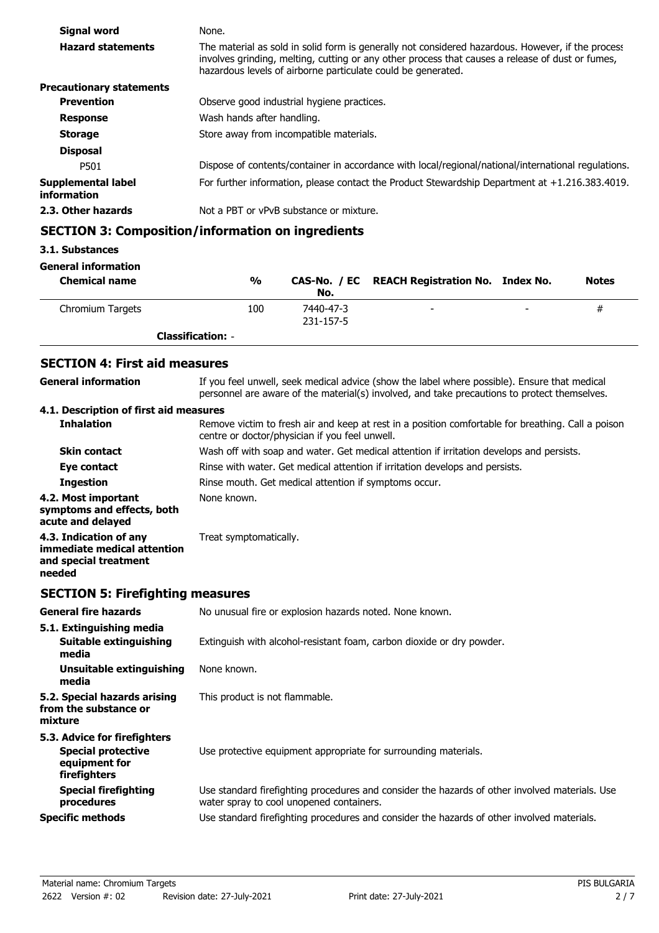| Signal word                       | None.                                                                                                                                                                                                                                                                 |
|-----------------------------------|-----------------------------------------------------------------------------------------------------------------------------------------------------------------------------------------------------------------------------------------------------------------------|
| <b>Hazard statements</b>          | The material as sold in solid form is generally not considered hazardous. However, if the process<br>involves grinding, melting, cutting or any other process that causes a release of dust or fumes,<br>hazardous levels of airborne particulate could be generated. |
| <b>Precautionary statements</b>   |                                                                                                                                                                                                                                                                       |
| <b>Prevention</b>                 | Observe good industrial hygiene practices.                                                                                                                                                                                                                            |
| <b>Response</b>                   | Wash hands after handling.                                                                                                                                                                                                                                            |
| <b>Storage</b>                    | Store away from incompatible materials.                                                                                                                                                                                                                               |
| <b>Disposal</b>                   |                                                                                                                                                                                                                                                                       |
| P501                              | Dispose of contents/container in accordance with local/regional/national/international regulations.                                                                                                                                                                   |
| Supplemental label<br>information | For further information, please contact the Product Stewardship Department at $+1.216.383.4019$ .                                                                                                                                                                     |
| 2.3. Other hazards                | Not a PBT or vPvB substance or mixture.                                                                                                                                                                                                                               |

# **SECTION 3: Composition/information on ingredients**

### **3.1. Substances**

#### **General information**

| <b>Chemical name</b> | $\frac{0}{0}$            | No.                    | CAS-No. / EC REACH Registration No. Index No. |                          | <b>Notes</b> |
|----------------------|--------------------------|------------------------|-----------------------------------------------|--------------------------|--------------|
| Chromium Targets     | 100                      | 7440-47-3<br>231-157-5 | $\overline{\phantom{0}}$                      | $\overline{\phantom{0}}$ | #            |
|                      | <b>Classification: -</b> |                        |                                               |                          |              |

# **SECTION 4: First aid measures**

| <b>General information</b>                                                                 | If you feel unwell, seek medical advice (show the label where possible). Ensure that medical<br>personnel are aware of the material(s) involved, and take precautions to protect themselves. |  |  |
|--------------------------------------------------------------------------------------------|----------------------------------------------------------------------------------------------------------------------------------------------------------------------------------------------|--|--|
| 4.1. Description of first aid measures                                                     |                                                                                                                                                                                              |  |  |
| <b>Inhalation</b>                                                                          | Remove victim to fresh air and keep at rest in a position comfortable for breathing. Call a poison<br>centre or doctor/physician if you feel unwell.                                         |  |  |
| <b>Skin contact</b>                                                                        | Wash off with soap and water. Get medical attention if irritation develops and persists.                                                                                                     |  |  |
| Eye contact                                                                                | Rinse with water. Get medical attention if irritation develops and persists.                                                                                                                 |  |  |
| <b>Ingestion</b>                                                                           | Rinse mouth. Get medical attention if symptoms occur.                                                                                                                                        |  |  |
| 4.2. Most important<br>symptoms and effects, both<br>acute and delayed                     | None known.                                                                                                                                                                                  |  |  |
| 4.3. Indication of any<br>immediate medical attention<br>and special treatment<br>needed   | Treat symptomatically.                                                                                                                                                                       |  |  |
| <b>SECTION 5: Firefighting measures</b>                                                    |                                                                                                                                                                                              |  |  |
| <b>General fire hazards</b>                                                                | No unusual fire or explosion hazards noted. None known.                                                                                                                                      |  |  |
| 5.1. Extinguishing media<br>Suitable extinguishing<br>media                                | Extinguish with alcohol-resistant foam, carbon dioxide or dry powder.                                                                                                                        |  |  |
| <b>Unsuitable extinguishing</b><br>media                                                   | None known.                                                                                                                                                                                  |  |  |
| 5.2. Special hazards arising<br>from the substance or<br>mixture                           | This product is not flammable.                                                                                                                                                               |  |  |
| 5.3. Advice for firefighters<br><b>Special protective</b><br>equipment for<br>firefighters | Use protective equipment appropriate for surrounding materials.                                                                                                                              |  |  |
| <b>Special firefighting</b><br>procedures                                                  | Use standard firefighting procedures and consider the hazards of other involved materials. Use<br>water spray to cool unopened containers.                                                   |  |  |
| <b>Specific methods</b>                                                                    | Use standard firefighting procedures and consider the hazards of other involved materials.                                                                                                   |  |  |
|                                                                                            |                                                                                                                                                                                              |  |  |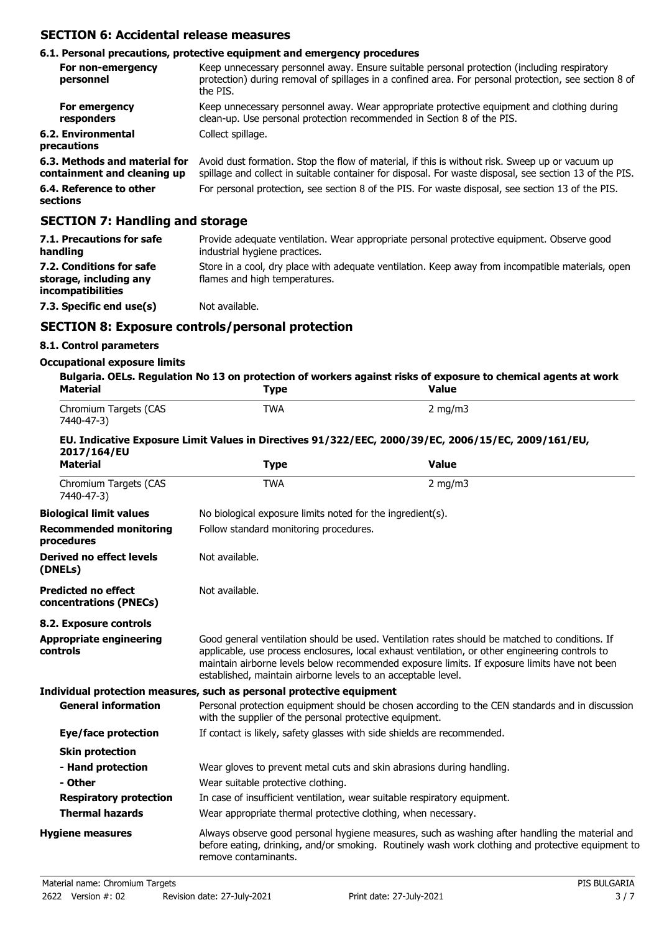## **SECTION 6: Accidental release measures**

### **6.1. Personal precautions, protective equipment and emergency procedures**

| For non-emergency<br>personnel                               | Keep unnecessary personnel away. Ensure suitable personal protection (including respiratory<br>protection) during removal of spillages in a confined area. For personal protection, see section 8 of<br>the PIS. |
|--------------------------------------------------------------|------------------------------------------------------------------------------------------------------------------------------------------------------------------------------------------------------------------|
| For emergency<br>responders                                  | Keep unnecessary personnel away. Wear appropriate protective equipment and clothing during<br>clean-up. Use personal protection recommended in Section 8 of the PIS.                                             |
| 6.2. Environmental<br>precautions                            | Collect spillage.                                                                                                                                                                                                |
| 6.3. Methods and material for<br>containment and cleaning up | Avoid dust formation. Stop the flow of material, if this is without risk. Sweep up or vacuum up<br>spillage and collect in suitable container for disposal. For waste disposal, see section 13 of the PIS.       |
| 6.4. Reference to other<br>sections                          | For personal protection, see section 8 of the PIS. For waste disposal, see section 13 of the PIS.                                                                                                                |

# **SECTION 7: Handling and storage**

| 7.1. Precautions for safe<br>handling                                          | Provide adequate ventilation. Wear appropriate personal protective equipment. Observe good<br>industrial hygiene practices.        |
|--------------------------------------------------------------------------------|------------------------------------------------------------------------------------------------------------------------------------|
| 7.2. Conditions for safe<br>storage, including any<br><i>incompatibilities</i> | Store in a cool, dry place with adequate ventilation. Keep away from incompatible materials, open<br>flames and high temperatures. |
| 7.3. Specific end use(s)                                                       | Not available.                                                                                                                     |

# **SECTION 8: Exposure controls/personal protection**

## **8.1. Control parameters**

### **Occupational exposure limits**

| <b>Material</b>                                      | <b>Type</b>                                                                                                                                                | Bulgaria. OELs. Regulation No 13 on protection of workers against risks of exposure to chemical agents at work<br>Value                                                                                                                                                                           |  |
|------------------------------------------------------|------------------------------------------------------------------------------------------------------------------------------------------------------------|---------------------------------------------------------------------------------------------------------------------------------------------------------------------------------------------------------------------------------------------------------------------------------------------------|--|
| Chromium Targets (CAS<br>7440-47-3)                  | <b>TWA</b>                                                                                                                                                 | $2$ mg/m $3$                                                                                                                                                                                                                                                                                      |  |
| 2017/164/EU                                          |                                                                                                                                                            | EU. Indicative Exposure Limit Values in Directives 91/322/EEC, 2000/39/EC, 2006/15/EC, 2009/161/EU,                                                                                                                                                                                               |  |
| <b>Material</b>                                      | <b>Type</b>                                                                                                                                                | <b>Value</b>                                                                                                                                                                                                                                                                                      |  |
| Chromium Targets (CAS<br>7440-47-3)                  | <b>TWA</b>                                                                                                                                                 | $2$ mg/m $3$                                                                                                                                                                                                                                                                                      |  |
| <b>Biological limit values</b>                       | No biological exposure limits noted for the ingredient(s).                                                                                                 |                                                                                                                                                                                                                                                                                                   |  |
| <b>Recommended monitoring</b><br>procedures          | Follow standard monitoring procedures.                                                                                                                     |                                                                                                                                                                                                                                                                                                   |  |
| <b>Derived no effect levels</b><br>(DNELs)           | Not available.                                                                                                                                             |                                                                                                                                                                                                                                                                                                   |  |
| <b>Predicted no effect</b><br>concentrations (PNECs) | Not available.                                                                                                                                             |                                                                                                                                                                                                                                                                                                   |  |
| 8.2. Exposure controls                               |                                                                                                                                                            |                                                                                                                                                                                                                                                                                                   |  |
| <b>Appropriate engineering</b><br>controls           | established, maintain airborne levels to an acceptable level.                                                                                              | Good general ventilation should be used. Ventilation rates should be matched to conditions. If<br>applicable, use process enclosures, local exhaust ventilation, or other engineering controls to<br>maintain airborne levels below recommended exposure limits. If exposure limits have not been |  |
|                                                      | Individual protection measures, such as personal protective equipment                                                                                      |                                                                                                                                                                                                                                                                                                   |  |
| <b>General information</b>                           | Personal protection equipment should be chosen according to the CEN standards and in discussion<br>with the supplier of the personal protective equipment. |                                                                                                                                                                                                                                                                                                   |  |
| Eye/face protection                                  | If contact is likely, safety glasses with side shields are recommended.                                                                                    |                                                                                                                                                                                                                                                                                                   |  |
| <b>Skin protection</b>                               |                                                                                                                                                            |                                                                                                                                                                                                                                                                                                   |  |
| - Hand protection                                    | Wear gloves to prevent metal cuts and skin abrasions during handling.                                                                                      |                                                                                                                                                                                                                                                                                                   |  |
| - Other                                              | Wear suitable protective clothing.                                                                                                                         |                                                                                                                                                                                                                                                                                                   |  |
| <b>Respiratory protection</b>                        | In case of insufficient ventilation, wear suitable respiratory equipment.                                                                                  |                                                                                                                                                                                                                                                                                                   |  |
| <b>Thermal hazards</b>                               | Wear appropriate thermal protective clothing, when necessary.                                                                                              |                                                                                                                                                                                                                                                                                                   |  |
| <b>Hygiene measures</b>                              | remove contaminants.                                                                                                                                       | Always observe good personal hygiene measures, such as washing after handling the material and<br>before eating, drinking, and/or smoking. Routinely wash work clothing and protective equipment to                                                                                               |  |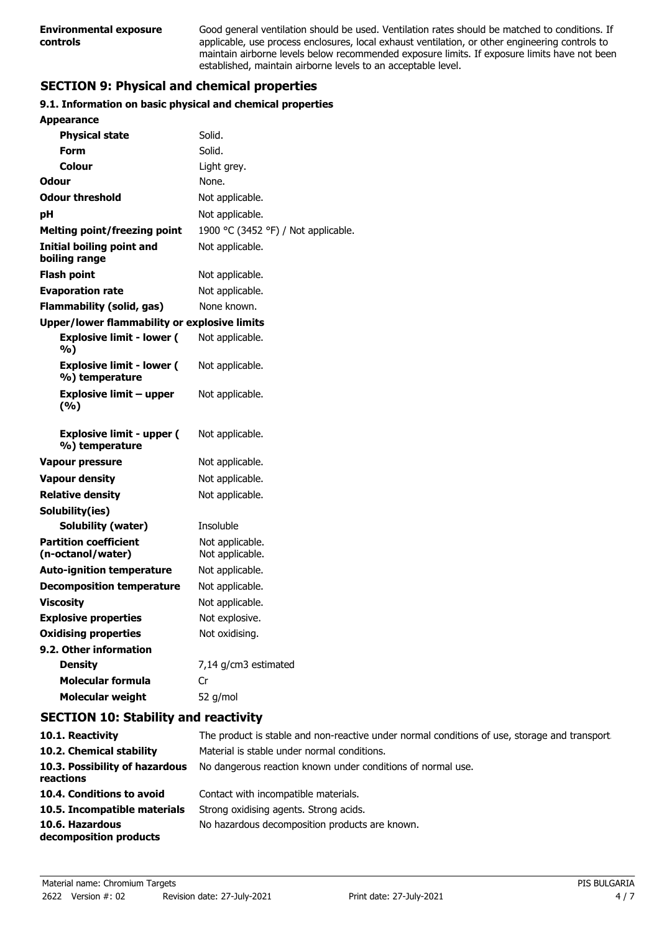Good general ventilation should be used. Ventilation rates should be matched to conditions. If applicable, use process enclosures, local exhaust ventilation, or other engineering controls to maintain airborne levels below recommended exposure limits. If exposure limits have not been established, maintain airborne levels to an acceptable level.

# **SECTION 9: Physical and chemical properties**

### **9.1. Information on basic physical and chemical properties**

| <b>Appearance</b>                                  |                                     |
|----------------------------------------------------|-------------------------------------|
| <b>Physical state</b>                              | Solid.                              |
| <b>Form</b>                                        | Solid.                              |
| <b>Colour</b>                                      | Light grey.                         |
| Odour                                              | None.                               |
| <b>Odour threshold</b>                             | Not applicable.                     |
| рH                                                 | Not applicable.                     |
| <b>Melting point/freezing point</b>                | 1900 °C (3452 °F) / Not applicable. |
| Initial boiling point and<br>boiling range         | Not applicable.                     |
| <b>Flash point</b>                                 | Not applicable.                     |
| <b>Evaporation rate</b>                            | Not applicable.                     |
| <b>Flammability (solid, gas)</b>                   | None known.                         |
| Upper/lower flammability or explosive limits       |                                     |
| <b>Explosive limit - lower (</b><br>%)             | Not applicable.                     |
| <b>Explosive limit - lower (</b><br>%) temperature | Not applicable.                     |
| <b>Explosive limit - upper</b><br>(%)              | Not applicable.                     |
| <b>Explosive limit - upper (</b><br>%) temperature | Not applicable.                     |
| <b>Vapour pressure</b>                             | Not applicable.                     |
| <b>Vapour density</b>                              | Not applicable.                     |
| <b>Relative density</b>                            | Not applicable.                     |
| Solubility(ies)                                    |                                     |
| Solubility (water)                                 | Insoluble                           |
| <b>Partition coefficient</b><br>(n-octanol/water)  | Not applicable.<br>Not applicable.  |
| <b>Auto-ignition temperature</b>                   | Not applicable.                     |
| <b>Decomposition temperature</b>                   | Not applicable.                     |
| <b>Viscosity</b>                                   |                                     |
|                                                    | Not applicable.                     |
| <b>Explosive properties</b>                        | Not explosive.                      |
| <b>Oxidising properties</b>                        | Not oxidising.                      |
| 9.2. Other information                             |                                     |
| <b>Density</b>                                     | 7,14 g/cm3 estimated                |
| <b>Molecular formula</b>                           | Cr                                  |
| <b>Molecular weight</b>                            | 52 g/mol                            |

### **SECTION 10: Stability and reactivity**

| 10.1. Reactivity                            | The product is stable and non-reactive under normal conditions of use, storage and transport. |
|---------------------------------------------|-----------------------------------------------------------------------------------------------|
| 10.2. Chemical stability                    | Material is stable under normal conditions.                                                   |
| 10.3. Possibility of hazardous<br>reactions | No dangerous reaction known under conditions of normal use.                                   |
| 10.4. Conditions to avoid                   | Contact with incompatible materials.                                                          |
| 10.5. Incompatible materials                | Strong oxidising agents. Strong acids.                                                        |
| 10.6. Hazardous<br>decomposition products   | No hazardous decomposition products are known.                                                |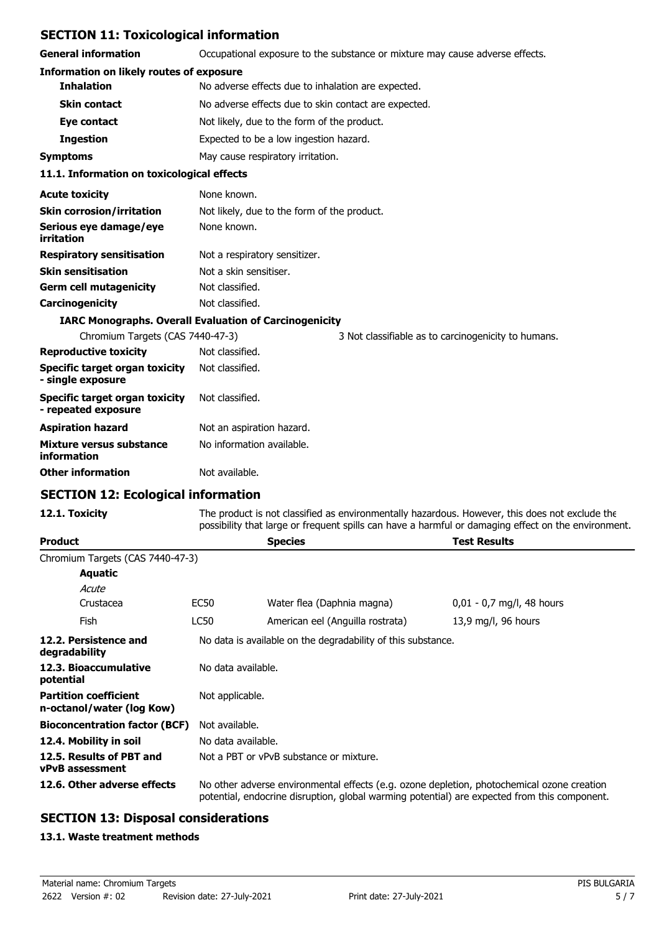## **SECTION 11: Toxicological information**

**General information C**CCUP Occupational exposure to the substance or mixture may cause adverse effects.

| <b>Information on likely routes of exposure</b>       |                                                               |  |  |
|-------------------------------------------------------|---------------------------------------------------------------|--|--|
| <b>Inhalation</b>                                     | No adverse effects due to inhalation are expected.            |  |  |
| <b>Skin contact</b>                                   | No adverse effects due to skin contact are expected.          |  |  |
| Eye contact                                           | Not likely, due to the form of the product.                   |  |  |
| <b>Ingestion</b>                                      | Expected to be a low ingestion hazard.                        |  |  |
| <b>Symptoms</b>                                       | May cause respiratory irritation.                             |  |  |
| 11.1. Information on toxicological effects            |                                                               |  |  |
| <b>Acute toxicity</b>                                 | None known.                                                   |  |  |
| <b>Skin corrosion/irritation</b>                      | Not likely, due to the form of the product.                   |  |  |
| Serious eye damage/eye<br>irritation                  | None known.                                                   |  |  |
| <b>Respiratory sensitisation</b>                      | Not a respiratory sensitizer.                                 |  |  |
| <b>Skin sensitisation</b>                             | Not a skin sensitiser.                                        |  |  |
| <b>Germ cell mutagenicity</b>                         | Not classified.                                               |  |  |
| Carcinogenicity                                       | Not classified.                                               |  |  |
|                                                       | <b>IARC Monographs. Overall Evaluation of Carcinogenicity</b> |  |  |
| Chromium Targets (CAS 7440-47-3)                      | 3 Not classifiable as to carcinogenicity to humans.           |  |  |
| <b>Reproductive toxicity</b>                          | Not classified.                                               |  |  |
| Specific target organ toxicity<br>- single exposure   | Not classified.                                               |  |  |
| Specific target organ toxicity<br>- repeated exposure | Not classified.                                               |  |  |
|                                                       |                                                               |  |  |

| Aspiration hazard                       | Not an aspiration hazard. |
|-----------------------------------------|---------------------------|
| Mixture versus substance<br>information | No information available. |
| <b>Other information</b>                | Not available.            |

# **SECTION 12: Ecological information**

12.1. Toxicity The product is not classified as environmentally hazardous. However, this does not exclude the possibility that large or frequent spills can have a harmful or damaging effect on the environment.

| <b>Product</b>                                            |                                                                                                                                                                                            | <b>Species</b>                   | <b>Test Results</b>         |  |
|-----------------------------------------------------------|--------------------------------------------------------------------------------------------------------------------------------------------------------------------------------------------|----------------------------------|-----------------------------|--|
| Chromium Targets (CAS 7440-47-3)                          |                                                                                                                                                                                            |                                  |                             |  |
| Aquatic                                                   |                                                                                                                                                                                            |                                  |                             |  |
| Acute                                                     |                                                                                                                                                                                            |                                  |                             |  |
| Crustacea                                                 | EC50                                                                                                                                                                                       | Water flea (Daphnia magna)       | $0.01 - 0.7$ mg/l, 48 hours |  |
| Fish                                                      | LC50                                                                                                                                                                                       | American eel (Anguilla rostrata) | 13,9 mg/l, 96 hours         |  |
| 12.2. Persistence and<br>degradability                    | No data is available on the degradability of this substance.                                                                                                                               |                                  |                             |  |
| 12.3. Bioaccumulative<br>potential                        | No data available.                                                                                                                                                                         |                                  |                             |  |
| <b>Partition coefficient</b><br>n-octanol/water (log Kow) | Not applicable.                                                                                                                                                                            |                                  |                             |  |
| <b>Bioconcentration factor (BCF)</b>                      | Not available.                                                                                                                                                                             |                                  |                             |  |
| 12.4. Mobility in soil                                    |                                                                                                                                                                                            | No data available.               |                             |  |
| 12.5. Results of PBT and<br><b>vPvB</b> assessment        | Not a PBT or vPvB substance or mixture.                                                                                                                                                    |                                  |                             |  |
| 12.6. Other adverse effects                               | No other adverse environmental effects (e.g. ozone depletion, photochemical ozone creation<br>potential, endocrine disruption, global warming potential) are expected from this component. |                                  |                             |  |

### **SECTION 13: Disposal considerations**

#### **13.1. Waste treatment methods**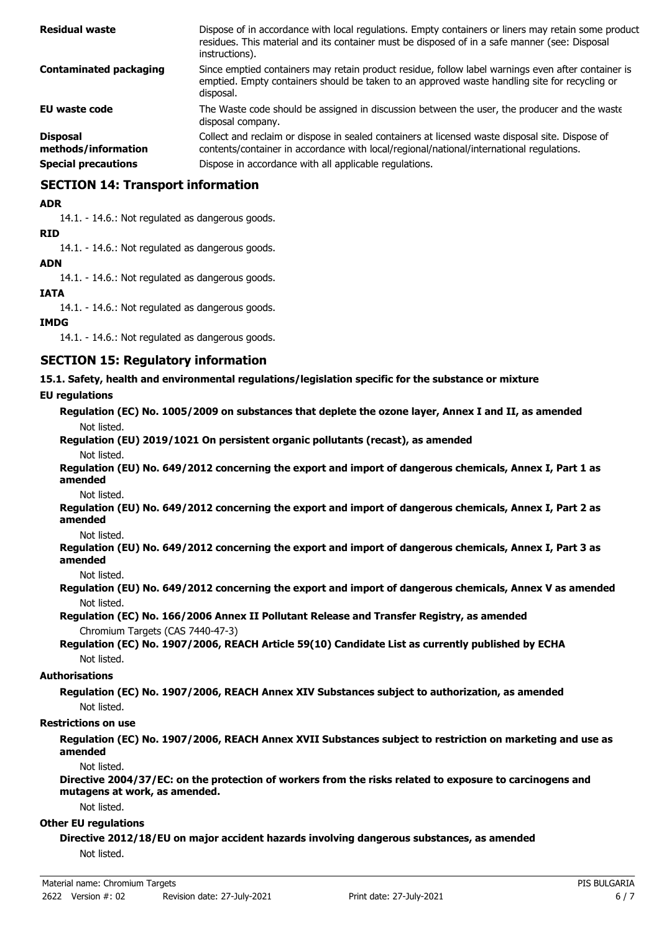| <b>Residual waste</b>                  | Dispose of in accordance with local regulations. Empty containers or liners may retain some product<br>residues. This material and its container must be disposed of in a safe manner (see: Disposal<br>instructions). |
|----------------------------------------|------------------------------------------------------------------------------------------------------------------------------------------------------------------------------------------------------------------------|
| <b>Contaminated packaging</b>          | Since emptied containers may retain product residue, follow label warnings even after container is<br>emptied. Empty containers should be taken to an approved waste handling site for recycling or<br>disposal.       |
| <b>EU waste code</b>                   | The Waste code should be assigned in discussion between the user, the producer and the waste<br>disposal company.                                                                                                      |
| <b>Disposal</b><br>methods/information | Collect and reclaim or dispose in sealed containers at licensed waste disposal site. Dispose of<br>contents/container in accordance with local/regional/national/international regulations.                            |
| <b>Special precautions</b>             | Dispose in accordance with all applicable regulations.                                                                                                                                                                 |

## **SECTION 14: Transport information**

#### **ADR**

14.1. - 14.6.: Not regulated as dangerous goods.

#### **RID**

14.1. - 14.6.: Not regulated as dangerous goods.

### **ADN**

14.1. - 14.6.: Not regulated as dangerous goods.

#### **IATA**

14.1. - 14.6.: Not regulated as dangerous goods.

#### **IMDG**

14.1. - 14.6.: Not regulated as dangerous goods.

### **SECTION 15: Regulatory information**

**15.1. Safety, health and environmental regulations/legislation specific for the substance or mixture**

#### **EU regulations**

**Regulation (EC) No. 1005/2009 on substances that deplete the ozone layer, Annex I and II, as amended** Not listed.

# **Regulation (EU) 2019/1021 On persistent organic pollutants (recast), as amended**

Not listed.

**Regulation (EU) No. 649/2012 concerning the export and import of dangerous chemicals, Annex I, Part 1 as amended**

Not listed.

**Regulation (EU) No. 649/2012 concerning the export and import of dangerous chemicals, Annex I, Part 2 as amended**

Not listed.

**Regulation (EU) No. 649/2012 concerning the export and import of dangerous chemicals, Annex I, Part 3 as amended**

Not listed.

**Regulation (EU) No. 649/2012 concerning the export and import of dangerous chemicals, Annex V as amended** Not listed.

**Regulation (EC) No. 166/2006 Annex II Pollutant Release and Transfer Registry, as amended** Chromium Targets (CAS 7440-47-3)

**Regulation (EC) No. 1907/2006, REACH Article 59(10) Candidate List as currently published by ECHA** Not listed.

#### **Authorisations**

**Regulation (EC) No. 1907/2006, REACH Annex XIV Substances subject to authorization, as amended** Not listed.

#### **Restrictions on use**

**Regulation (EC) No. 1907/2006, REACH Annex XVII Substances subject to restriction on marketing and use as amended**

Not listed.

**Directive 2004/37/EC: on the protection of workers from the risks related to exposure to carcinogens and mutagens at work, as amended.**

Not listed.

#### **Other EU regulations**

**Directive 2012/18/EU on major accident hazards involving dangerous substances, as amended** Not listed.